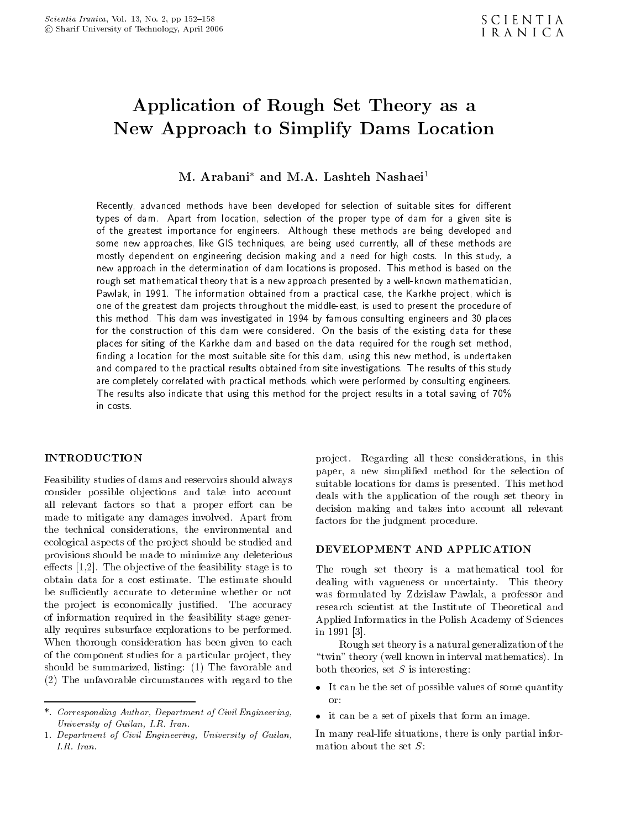# Application of Rough Set Theory as <sup>a</sup> New Approach to Simplify Dams Location

M. Arabani<sup>\*</sup> and M.A. Lashteh Nashaei<sup>1</sup>

Recently, advanced methods have been developed for selection of suitable sites for different types of dam. Apart from location, selection of the proper type of dam for <sup>a</sup> given site is of the greatest importance for engineers. Although these methods are being developed and some new approaches, like GIS techniques, are being used currently, all of these methods are mostly dependent on engineering decision making and <sup>a</sup> need for high costs. In this study, <sup>a</sup> new approach in the determination of dam locations is proposed. This method is based on the rough set mathematical theory that is a new approach presented by a well-known mathematician, Pawlak, in 1991. The information obtained from a practical case, the Karkhe project, which is one of the greatest dam projects throughout the middle-east, is used to present the procedure of this method. This dam was investigated in 1994 by famous consulting engineers and 30 places for the construction of this dam were considered. On the basis of the existing data for these places for siting of the Karkhe dam and based on the data required for the rough set method, finding a location for the most suitable site for this dam, using this new method, is undertaken and compared to the practical results obtained from site investigations. The results of this study are completely correlated with practical methods, which were performed by consulting engineers. The results also indicate that using this method for the project results in a total saving of 70% in costs.

#### **INTRODUCTION**

Feasibility studies of dams and reservoirs should always consider possible ob jections and take into account all relevant factors so that a proper effort can be made to mitigate any damages involved. Apart from the technical considerations, the environmental and ecological aspects of the project should be studied and<br> **DEVELOPMENT AND APPLICATION** provisions should be made to minimize any deleterious effects  $[1,2]$ . The objective of the feasibility stage is to obtain data for a cost estimate. The estimate should be sufficiently accurate to determine whether or not the project is economically justified. The accuracy of information required in the feasibility stage generally requires subsurface explorations to be performed. When thorough consideration has been given to each of the component studies for a particular project, they should be summarized, listing: (1) The favorable and (2) The unfavorable circumstances with regard to the

project. Regarding all these considerations, in this paper, <sup>a</sup> new simplied method for the selection of suitable locations for dams is presented. This method deals with the application of the rough set theory in decision making and takes into account all relevant factors for the judgment procedure.

The rough set theory is <sup>a</sup> mathematical tool for dealing with vagueness or uncertainty. This theory was formulated by Zdzislaw Pawlak, <sup>a</sup> professor and research scientist at the Institute of Theoretical and Applied Informatics in the Polish Academy of Sciences in 1991 [3].

Rough set theory is a natural generalization of the "twin" theory (well known in interval mathematics). In both theories, set  $S$  is interesting:

- It can be the set of possible values of some quantity
- it can be a set of pixels that form an image.

In many real-life situations, there is only partial infor-

<sup>\*.</sup> Corresponding Author, Department of Civil Engineering, University of Guilan, I.R. Iran.

<sup>1.</sup> Department of Civil Engineering, University of Guilan,  $I.R.$  Iran.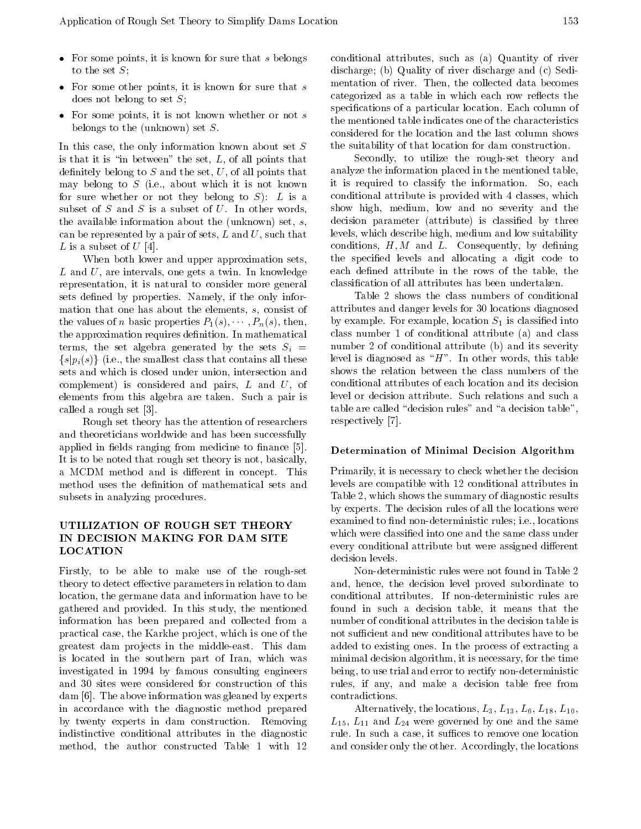- For some points, it is known for sure that  $s$  belongs to the set  $S$ ;
- $\frac{1}{2}$  for some other points, it is known for sure that sure that sure that sure that sure that sure that such that such that such that such that such that such that such that such that such that such that such that su
- $\frac{1}{2}$  belongs to the (unknown) set S.

In this case, the only information known about set S is that it is "in between" the set,  $L$ , of all points that definitely belong to  $S$  and the set,  $U$ , of all points that may belong to  $S$  (i.e., about which it is not known for sure whether or not they belong to  $S$ : L is a subset of  $S$  and  $S$  is a subset of  $U$ . In other words, the available information about the (unknown) set,  $s$ , can be represented by a pair of sets,  $L$  and  $U$ , such that L is a subset of  $U$  [4].

When both lower and upper approximation sets,  $L$  and  $U$ , are intervals, one gets a twin. In knowledge representation, it is natural to consider more general sets defined by properties. Namely, if the only information that one has about the elements, s, consist of the values of *n* basic properties  $P_1(s), \cdots, P_n(s)$ , then, the approximation requires definition. In mathematical terms, the set algebra generated by the sets  $S_i$  = sets and which is closed under union, intersection and show complement) is considered and pairs,  $L$  and  $U$ , of elements from this algebra are taken. Such <sup>a</sup> pair is called a rough set [3].

Rough set theory has the attention of researchers and theoreticians worldwide and has been successfully applied in fields ranging from medicine to finance [5]. It is to be noted that rough set theory is not, basically, a MCDM method and is different in concept. This method uses the definition of mathematical sets and subsets in analyzing procedures.

## UTILIZATION OF ROUGH SET THEORY IN DECISION MAKING FOR DAM SITE LOCATION

Firstly, to be able to make use of the rough-set theory to detect effective parameters in relation to dam location, the germane data and information have to be gathered and provided. In this study, the mentioned information has been prepared and collected from <sup>a</sup> practical case, the Karkhe project, which is one of the greatest dam projects in the middle-east. This dam is located in the southern part of Iran, which was investigated in <sup>1994</sup> by famous consulting engineers and <sup>30</sup> sites were considered for construction of this dam [6]. The above information was gleaned by experts in accordance with the diagnostic method prepared by twenty experts in dam construction. Removing indistinctive conditional attributes in the diagnostic method, the author constructed Table <sup>1</sup> with <sup>12</sup> conditional attributes, such as (a) Quantity of river discharge; (b) Quality of river discharge and (c) Sedimentation of river. Then, the collected data becomes categorized as a table in which each row reflects the specifications of a particular location. Each column of the mentioned table indicates one of the characteristics considered for the location and the last column shows the suitability of that location for dam construction.

Secondly, to utilize the rough-set theory and analyze the information placed in the mentioned table, it is required to classify the information. So, each conditional attribute is provided with 4 classes, which show high, medium, low and no severity and the decision parameter (attribute) is classied by three levels, which describe high, medium and low suitability conditions,  $H, M$  and  $L$ . Consequently, by defining the specied levels and allocating <sup>a</sup> digit code to each defined attribute in the rows of the table, the classication of all attributes has been undertaken.

Table 2 shows the class numbers of conditional attributes and danger levels for 30 locations diagnosed by example. For example, location  $S_1$  is classified into class number <sup>1</sup> of conditional attribute (a) and class number 2 of conditional attribute (b) and its severity level is diagnosed as " $H$ ". In other words, this table shows the relation between the class numbers of the conditional attributes of each location and its decision level or decision attribute. Such relations and such <sup>a</sup> table are called "decision rules" and "a decision table", respectively [7].

#### Determination of Minimal Decision Algorithm

 $\frac{U-T}{U}$  which were classified into one and the same class under Primarily, it is necessary to check whether the decision levels are compatible with 12 conditional attributes in Table 2, which shows the summary of diagnostic results by experts. The decision rules of all the locations were examined to find non-deterministic rules; i.e., locations every conditional attribute but were assigned different decision levels.

> Non-deterministic rules were not found in Table 2 and, hence, the decision level proved subordinate to conditional attributes. If non-deterministic rules are found in such <sup>a</sup> decision table, it means that the number of conditional attributes in the decision table is not sufficient and new conditional attributes have to be added to existing ones. In the process of extracting a minimal decision algorithm, it is necessary, for the time being, to use trial and error to rectify non-deterministic rules, if any, and make <sup>a</sup> decision table free from contradictions.

> Alternatively, the locations,  $L_3$ ,  $L_{13}$ ,  $L_6$ ,  $L_{18}$ ,  $L_{10}$ ,  $L_{15}$ ,  $L_{11}$  and  $L_{24}$  were governed by one and the same rule. In such a case, it suffices to remove one location and consider only the other. Accordingly, the locations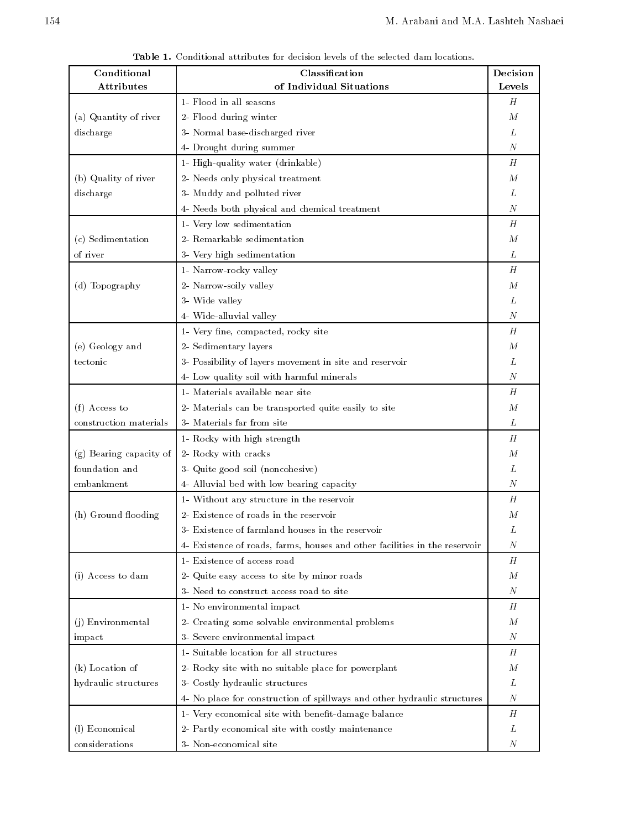| Conditional             | Classification                                                             | Decision         |
|-------------------------|----------------------------------------------------------------------------|------------------|
| Attributes              | of Individual Situations                                                   | Levels           |
|                         | 1- Flood in all seasons                                                    | Н                |
| (a) Quantity of river   | 2- Flood during winter                                                     | М                |
| discharge               | 3- Normal base-discharged river                                            | L                |
|                         | 4- Drought during summer                                                   | N                |
|                         | 1- High-quality water (drinkable)                                          | Н                |
| (b) Quality of river    | 2- Needs only physical treatment                                           | М                |
| discharge               | 3- Muddy and polluted river                                                | L                |
|                         | 4- Needs both physical and chemical treatment                              | N                |
|                         | 1- Very low sedimentation                                                  | Н                |
| (c) Sedimentation       | 2- Remarkable sedimentation                                                | М                |
| of river                | 3- Very high sedimentation                                                 | L                |
|                         | 1- Narrow-rocky valley                                                     | H                |
| (d) Topography          | 2- Narrow-soily valley                                                     | М                |
|                         | 3- Wide valley                                                             | L                |
|                         | 4- Wide-alluvial valley                                                    | N                |
|                         | 1- Very fine, compacted, rocky site                                        | Н                |
| (e) Geology and         | 2- Sedimentary layers                                                      | М                |
| tectonic                | 3- Possibility of layers movement in site and reservoir                    | L                |
|                         | 4- Low quality soil with harmful minerals                                  | Ν                |
|                         | 1- Materials available near site                                           | Н                |
| $(f)$ Access to         | 2- Materials can be transported quite easily to site                       | М                |
| construction materials  | 3- Materials far from site                                                 | L                |
|                         | 1- Rocky with high strength                                                | Н                |
| (g) Bearing capacity of | 2- Rocky with cracks                                                       | М                |
| foundation and          | 3- Quite good soil (noncohesive)                                           | L                |
| embankment              | 4- Alluvial bed with low bearing capacity                                  | Ν                |
|                         | 1- Without any structure in the reservoir                                  | H                |
| (h) Ground flooding     | 2- Existence of roads in the reservoir                                     | $\boldsymbol{M}$ |
|                         | 3- Existence of farmland houses in the reservoir                           | L                |
|                         | 4- Existence of roads, farms, houses and other facilities in the reservoir | Ν                |
|                         | 1- Existence of access road                                                | Н                |
| (i) Access to dam       | 2- Quite easy access to site by minor roads                                | М                |
|                         | 3- Need to construct access road to site                                   | N                |
|                         | 1- No environmental impact                                                 | Н                |
| (j) Environmental       | 2- Creating some solvable environmental problems                           | М                |
| impact                  | 3- Severe environmental impact                                             | N                |
|                         | 1- Suitable location for all structures                                    | Н                |
| (k) Location of         | 2- Rocky site with no suitable place for powerplant                        | М                |
| hydraulic structures    | 3- Costly hydraulic structures                                             | L                |
|                         | 4- No place for construction of spillways and other hydraulic structures   | N                |
|                         | 1- Very economical site with benefit-damage balance                        | Н                |
| (l) Economical          | 2- Partly economical site with costly maintenance                          | L                |
| considerations          | 3- Non-economical site                                                     | N                |
|                         |                                                                            |                  |

Table 1. Conditional attributes for decision levels of the selected dam locations.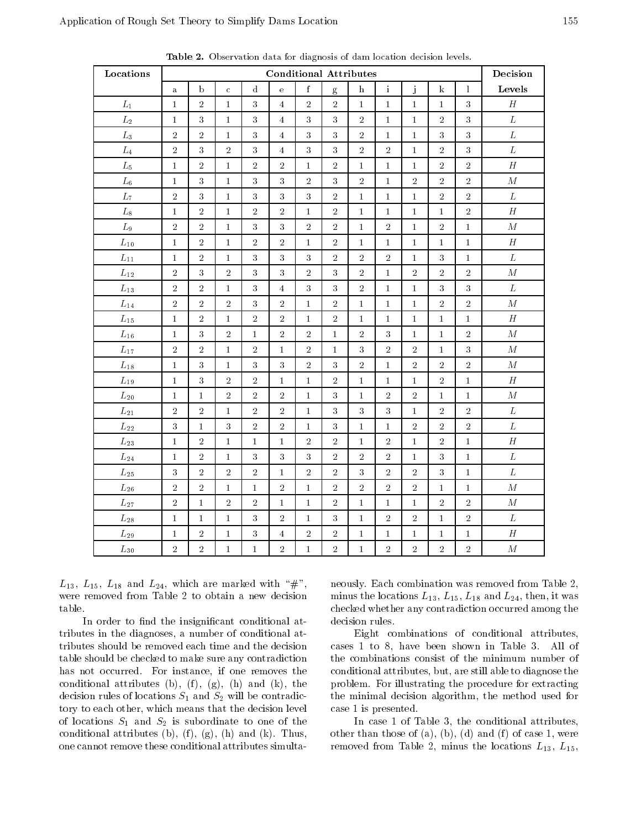| Locations          |                |              |              |                | <b>Conditional Attributes</b> |                  |                  |                           |                |                |                |                  | Decision         |
|--------------------|----------------|--------------|--------------|----------------|-------------------------------|------------------|------------------|---------------------------|----------------|----------------|----------------|------------------|------------------|
|                    | $\mathbf{a}$   | $\rm b$      | $\mathbf{C}$ | ${\rm d}$      | $\mathbf{e}$                  | f                | $\mathbf{g}$     | $\boldsymbol{\mathrm{h}}$ | $\rm i$        | j              | $\bf k$        | $\mathbf{l}$     | Levels           |
| ${\cal L}_1$       | $\mathbf{1}$   | $\sqrt{2}$   | $\mathbf{1}$ | $\sqrt{3}$     | $\overline{4}$                | $\overline{2}$   | $\overline{2}$   | $\mathbf{1}$              | $\mathbf{1}$   | $\mathbf{1}$   | $\mathbf{1}$   | 3                | H                |
| $L_2$              | $\mathbf 1$    | $\sqrt{3}$   | $\mathbf{1}$ | 3              | $\overline{4}$                | $\overline{3}$   | $\overline{3}$   | $\overline{2}$            | $\mathbf{1}$   | $\mathbf{1}$   | $\sqrt{2}$     | 3                | $\cal L$         |
| ${\cal L}_3$       | $\sqrt{2}$     | $\,2\,$      | $\mathbf 1$  | $\sqrt{3}$     | $\overline{4}$                | $\boldsymbol{3}$ | $\sqrt{3}$       | $\sqrt{2}$                | $\mathbf{1}$   | $\mathbf{1}$   | $\sqrt{3}$     | 3                | $\cal L$         |
| $\mathcal{L}_{4}$  | $\overline{2}$ | $\sqrt{3}$   | $\sqrt{2}$   | $\sqrt{3}$     | $\overline{4}$                | $\sqrt{3}$       | $\sqrt{3}$       | $\overline{2}$            | $\overline{2}$ | $\mathbf 1$    | $\overline{2}$ | $\boldsymbol{3}$ | $\cal L$         |
| $L_5$              | $\mathbf 1$    | $\sqrt{2}$   | $\mathbf 1$  | $\sqrt{2}$     | $\overline{2}$                | $\mathbf{1}$     | $\sqrt{2}$       | $\mathbf{1}$              | $\mathbf{1}$   | $\mathbf{1}$   | $\sqrt{2}$     | $\overline{2}$   | $\boldsymbol{H}$ |
| $L_6$              | $\bf{1}$       | $\sqrt{3}$   | $\mathbf 1$  | $\sqrt{3}$     | $\boldsymbol{3}$              | $\,2\,$          | $\sqrt{3}$       | $\overline{2}$            | $\mathbf 1$    | $\overline{2}$ | $\sqrt{2}$     | $\sqrt{2}$       | ${\cal M}$       |
| $\mathcal{L}_7$    | $\sqrt{2}$     | $\sqrt{3}$   | $\mathbf{1}$ | $\sqrt{3}$     | $\sqrt{3}$                    | $\overline{3}$   | $\sqrt{2}$       | $\mathbf{1}$              | $\mathbf 1$    | $\mathbf{1}$   | $\sqrt{2}$     | $\overline{2}$   | ${\cal L}$       |
| $L_8$              | $\mathbf 1$    | $\,2$        | $\mathbf{1}$ | $\sqrt{2}$     | $\bar{2}$                     | $\mathbf{1}$     | $\sqrt{2}$       | $\bf{1}$                  | $\mathbf{1}$   | $\mathbf{1}$   | $\mathbf{1}$   | $\overline{2}$   | $\boldsymbol{H}$ |
| $\mathcal{L}_{9}$  | $\overline{2}$ | $\,2$        | $\mathbf{1}$ | $\sqrt{3}$     | $\overline{3}$                | $\overline{2}$   | $\overline{2}$   | $\mathbf 1$               | $\overline{2}$ | $1\,$          | $\sqrt{2}$     | $\mathbf{1}$     | $\cal M$         |
| $\mathcal{L}_{10}$ | $\mathbf 1$    | $\sqrt{2}$   | $\mathbf{1}$ | $\sqrt{2}$     | $\overline{2}$                | $\mathbf{1}$     | $\sqrt{2}$       | $\mathbf{1}$              | $\mathbf{1}$   | $\mathbf{1}$   | $\mathbf{1}$   | $\mathbf{1}$     | $\boldsymbol{H}$ |
| $L_{11}$           | $\mathbf 1$    | $\,2$        | $\mathbf 1$  | 3              | $\sqrt{3}$                    | $\sqrt{3}$       | $\sqrt{2}$       | $\overline{2}$            | $\sqrt{2}$     | $\mathbf{1}$   | 3              | $\mathbf{1}$     | $\cal L$         |
| $L_{12}$           | $\sqrt{2}$     | $\sqrt{3}$   | $\sqrt{2}$   | 3              | $\sqrt{3}$                    | $\overline{2}$   | 3                | $\overline{2}$            | $\mathbf{1}$   | $\overline{2}$ | $\sqrt{2}$     | $\overline{2}$   | $\cal M$         |
| $\mathcal{L}_{13}$ | $\sqrt{2}$     | $\,2$        | $\mathbf{1}$ | $\sqrt{3}$     | $\overline{4}$                | $\overline{3}$   | $\overline{3}$   | $\overline{2}$            | $\mathbf{1}$   | $1\,$          | $\sqrt{3}$     | 3                | ${\cal L}$       |
| $L_{14}$           | $\sqrt{2}$     | $\,2$        | $\,2$        | 3              | $\sqrt{2}$                    | $\mathbf{1}$     | $\sqrt{2}$       | $\mathbf{1}$              | $\mathbf{1}$   | $\mathbf{1}$   | $\sqrt{2}$     | $\,2\,$          | ${\cal M}$       |
| $L_{15}$           | $\mathbf 1$    | $\bar{2}$    | $\mathbf{1}$ | $\overline{2}$ | $\overline{2}$                | $\mathbf{1}$     | $\overline{2}$   | $\mathbf{1}$              | $\mathbf{1}$   | $\mathbf{1}$   | $\mathbf{1}$   | $\mathbf{1}$     | $\boldsymbol{H}$ |
| $\mathcal{L}_{16}$ | $\mathbf 1$    | $\sqrt{3}$   | $\sqrt{2}$   | $\mathbf 1$    | $\overline{2}$                | $\overline{2}$   | $1\,$            | $\overline{2}$            | $\overline{3}$ | $1\,$          | $\mathbf{1}$   | $\sqrt{2}$       | ${\cal M}$       |
| $\mathcal{L}_{17}$ | $\sqrt{2}$     | $\,2$        | $\mathbf{1}$ | $\sqrt{2}$     | $\mathbf{1}$                  | $\overline{2}$   | $\mathbf{1}$     | $\sqrt{3}$                | $\sqrt{2}$     | $\overline{2}$ | $\mathbf{1}$   | $\sqrt{3}$       | ${\cal M}$       |
| $L_{18}$           | $\mathbf 1$    | $\sqrt{3}$   | $\mathbf{1}$ | $\sqrt{3}$     | $\sqrt{3}$                    | $\,2\,$          | $\sqrt{3}$       | $\bar{2}$                 | $\mathbf{1}$   | $\,2\,$        | $\overline{2}$ | $\overline{2}$   | ${\cal M}$       |
| $L_{19}$           | $\mathbf 1$    | $\sqrt{3}$   | $\sqrt{2}$   | $\sqrt{2}$     | $\mathbf 1$                   | $1\,$            | $\sqrt{2}$       | $\mathbf{1}$              | $\mathbf{1}$   | $1\,$          | $\overline{2}$ | $\mathbf{1}$     | $\boldsymbol{H}$ |
| $L_{20}$           | $\mathbf 1$    | $\mathbf{1}$ | $\sqrt{2}$   | $\sqrt{2}$     | $\sqrt{2}$                    | $\mathbf{1}$     | $\overline{3}$   | $\mathbf{1}$              | $\overline{2}$ | $\overline{2}$ | $\mathbf{1}$   | $\mathbf{1}$     | ${\cal M}$       |
| $L_{21}$           | $\sqrt{2}$     | $\,2\,$      | $\mathbf 1$  | $\overline{2}$ | $\,2\,$                       | $\mathbf 1$      | $\boldsymbol{3}$ | $\overline{3}$            | 3              | $\mathbf{1}$   | $\sqrt{2}$     | $\overline{2}$   | $\cal L$         |
| $L_{22}$           | $\overline{3}$ | $\mathbf 1$  | $\sqrt{3}$   | $\overline{2}$ | $\overline{2}$                | $\mathbf{1}$     | 3                | $\mathbf{1}$              | $\mathbf{1}$   | $\overline{2}$ | $\sqrt{2}$     | $\overline{2}$   | $\cal L$         |
| $L_{23}$           | $\mathbf 1$    | $\sqrt{2}$   | $\mathbf{1}$ | $\mathbf 1$    | $\mathbf{1}$                  | $\overline{2}$   | $\overline{2}$   | $\mathbf{1}$              | $\overline{2}$ | $\mathbf{1}$   | $\sqrt{2}$     | $\mathbf{1}$     | $\boldsymbol{H}$ |
| $L_{24}$           | $\mathbf 1$    | $\sqrt{2}$   | $\mathbf 1$  | $\sqrt{3}$     | $\boldsymbol{3}$              | $\boldsymbol{3}$ | $\overline{2}$   | $\overline{2}$            | $\overline{2}$ | $\mathbf{1}$   | $\sqrt{3}$     | $\mathbf{1}$     | $\cal L$         |
| $L_{25}$           | $\sqrt{3}$     | $\,2$        | $\sqrt{2}$   | $\sqrt{2}$     | $\mathbf{1}$                  | $\overline{2}$   | $\overline{2}$   | 3                         | $\overline{2}$ | $\overline{2}$ | 3              | $\mathbf{1}$     | ${\cal L}$       |
| $\mathcal{L}_{26}$ | $\bar{2}$      | $\sqrt{2}$   | $\mathbf{1}$ | $\mathbf{1}$   | $\sqrt{2}$                    | $\mathbf{1}$     | $\bar{2}$        | $\overline{2}$            | $\overline{2}$ | $\overline{2}$ | $\mathbf{1}$   | $\mathbf{1}$     | ${\cal M}$       |
| $\mathcal{L}_{27}$ | $\overline{2}$ | $\mathbf 1$  | $\sqrt{2}$   | $\sqrt{2}$     | $\mathbf 1$                   | $\mathbf 1$      | $\overline{2}$   | $\mathbf 1$               | $\mathbf{1}$   | $\mathbf{1}$   | $\sqrt{2}$     | $\bar{2}$        | $\cal M$         |
| $L_{28}$           | $\mathbf 1$    | $\mathbf{1}$ | $\mathbf{1}$ | $\sqrt{3}$     | $\overline{2}$                | $\mathbf{1}$     | 3                | $\mathbf{1}$              | $\overline{2}$ | $\overline{2}$ | $\mathbf{1}$   | $\sqrt{2}$       | $\cal L$         |
| $L_{29}$           | $\mathbf{1}$   | $\,2$        | $\mathbf{1}$ | 3              | $\overline{4}$                | $\,2\,$          | $\sqrt{2}$       | $\mathbf{1}$              | $\mathbf{1}$   | $\mathbf{1}$   | $\mathbf{1}$   | $\mathbf{1}$     | $\boldsymbol{H}$ |
| $L_{30}$           | $\overline{2}$ | $\sqrt{2}$   | $\mathbf 1$  | $\mathbf 1$    | $\,2\,$                       | $\mathbf 1$      | $\bar{2}$        | $\mathbf 1$               | $\sqrt{2}$     | $\bar{2}$      | $\sqrt{2}$     | $\overline{2}$   | ${\cal M}$       |

Table 2. Observation data for diagnosis of dam location decision levels.

 $L_{13}$ ,  $L_{15}$ ,  $L_{18}$  and  $L_{24}$ , which are marked with "#", were removed from Table2 to obtain <sup>a</sup> new decision table.

In order to find the insignificant conditional attributes in the diagnoses, a number of conditional attributes should be removed each time and the decision table should be checked to make sure any contradiction has not occurred. For instance, if one removes the conditional attributes (b),  $(f)$ ,  $(g)$ ,  $(h)$  and  $(k)$ , the decision rules of locations  $S_1$  and  $S_2$  will be contradictory to each other, which means that the decision level of locations  $S_1$  and  $S_2$  is subordinate to one of the conditional attributes  $(b)$ ,  $(f)$ ,  $(g)$ ,  $(h)$  and  $(k)$ . Thus, one cannot remove these conditional attributes simultaneously. Each combination was removed from Table 2, minus the locations  $L_{13}$ ,  $L_{15}$ ,  $L_{18}$  and  $L_{24}$ , then, it was checked whether any contradiction occurred among the decision rules.

Eight combinations of conditional attributes, cases <sup>1</sup> to 8, have been shown in Table 3. All of the combinations consist of the minimum number of conditional attributes, but, are still able to diagnose the problem. For illustrating the procedure for extracting the minimal decision algorithm, the method used for case 1 is presented.

In case <sup>1</sup> of Table 3, the conditional attributes, other than those of  $(a)$ ,  $(b)$ ,  $(d)$  and  $(f)$  of case 1, were removed from Table 2, minus the locations  $L_{13}$ ,  $L_{15}$ ,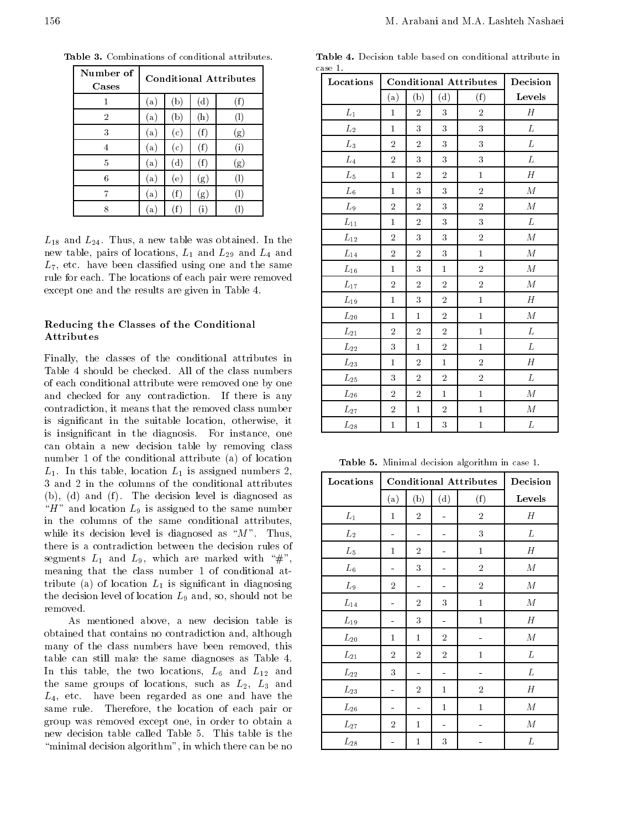| Number of<br>Cases |     |                   |                | <b>Conditional Attributes</b> |
|--------------------|-----|-------------------|----------------|-------------------------------|
|                    | (a) | $(\mathbf{p})$    | (d)            | (f)                           |
| $\overline{2}$     | (a) | $\left( b\right)$ | $(\mathrm{h})$ | $^{(1)}$                      |
| 3                  | a)  | (c)               | (f)            | (g)                           |
| 4                  | (a) | (c)               | (f)            | (i)                           |
| 5                  | (a) | $^{\rm{(d)}}$     | (f)            | (g)                           |
| 6                  | (a) | (e)               | (g)            | (1)                           |
| 7                  | (a) | (f)               | (g)            | H)                            |
| 8                  | a)  | (f)               | $\rm(i)$       |                               |

Table 3. Combinations of conditional attributes.

 $L_{18}$  and  $L_{24}$ . Thus, a new table was obtained. In the new table, pairs of locations,  $L_1$  and  $L_{29}$  and  $L_4$  and  $L_7$ , etc. have been classified using one and the same rule for each. The locations of each pair were removed except one and the results are given in Table 4.

#### Reducing the Classes of the Conditional Attributes

Finally, the classes of the conditional attributes in Table <sup>4</sup> should be checked. All of the class numbers of each conditional attribute were removed one by one and checked for any contradiction. If there is any contradiction, it means that the removed class number is signicant in the suitable location, otherwise, it is insignicant in the diagnosis. For instance, one can obtain <sup>a</sup> new decision table by removing class number <sup>1</sup> of the conditional attribute (a) of location  $L_1$ . In this table, location  $L_1$  is assigned numbers 2, <sup>3</sup> and <sup>2</sup> in the columns of the conditional attributes  $(b)$ ,  $(d)$  and  $(f)$ . The decision level is diagnosed as " $H$ " and location  $L_9$  is assigned to the same number in the columns of the same conditional attributes, while its decision level is diagnosed as " $M$ ". Thus, there is <sup>a</sup> contradiction between the decision rules of segments  $L_1$  and  $L_9$ , which are marked with "#", meaning that the class number <sup>1</sup> of conditional attribute (a) of location  $L_1$  is significant in diagnosing the decision level of location  $L_9$  and, so, should not be removed.

As mentioned above, <sup>a</sup> new decision table is obtained that contains no contradiction and, although many of the class numbers have been removed, this table can still make the same diagnoses as Table 4. In this table, the two locations,  $L_6$  and  $L_{12}$  and the same groups of locations, such as  $L_2$ ,  $L_3$  and  $L_4$ , etc. have been regarded as one and have the same rule. Therefore, the location of each pair or group was removed except one, in order to obtain <sup>a</sup> new decision table called Table 5.This table is the "minimal decision algorithm", in which there can be no

Table 4. Decision table based on conditional attribute in case 1.

| Locations          |                |                | <b>Conditional Attributes</b> | Decision                |                  |
|--------------------|----------------|----------------|-------------------------------|-------------------------|------------------|
|                    | (a)            | (b)            | (d)                           | (f)                     | Levels           |
| $L_1$              | $\mathbf{1}$   | $\overline{2}$ | 3                             | $\overline{2}$          | H                |
| $\mathcal{L}_2$    | $\mathbf{1}$   | 3              | 3                             | 3                       | L                |
| $L_3$              | $\overline{2}$ | $\overline{2}$ | 3                             | 3                       | L                |
| $\mathcal{L}_4$    | $\overline{2}$ | 3              | 3                             | $\overline{\mathbf{3}}$ | $\cal L$         |
| $L_5$              | $\mathbf{1}$   | $\overline{2}$ | $\overline{2}$                | $\mathbf{1}$            | $H_{\rm}$        |
| $L_{\rm 6}$        | $\mathbf{1}$   | 3              | 3                             | $\overline{2}$          | $\boldsymbol{M}$ |
| $L_9$              | $\overline{2}$ | $\overline{2}$ | 3                             | $\overline{2}$          | $\cal M$         |
| $L_{11}$           | $\mathbf{1}$   | $\overline{2}$ | 3                             | 3                       | $\cal L$         |
| $L_{12}$           | $\overline{2}$ | 3              | 3                             | $\overline{2}$          | $\cal M$         |
| $\mathcal{L}_{14}$ | $\overline{2}$ | $\overline{2}$ | 3                             | $\mathbf 1$             | $\cal M$         |
| $L_{16}$           | $\mathbf{1}$   | 3              | $\mathbf{1}$                  | $\overline{2}$          | $\boldsymbol{M}$ |
| $\mathcal{L}_{17}$ | $\overline{2}$ | $\overline{2}$ | $\overline{2}$                | $\overline{2}$          | $\cal M$         |
| $L_{19}$           | $\mathbf{1}$   | 3              | $\sqrt{2}$                    | $\mathbf 1$             | $H_{\rm}$        |
| $L_{20}$           | $\mathbf{1}$   | $\mathbf{1}$   | $\overline{2}$                | $\mathbf{1}$            | $\cal M$         |
| $L_{21}$           | $\overline{2}$ | $\overline{2}$ | $\overline{2}$                | $\mathbf 1$             | $\cal L$         |
| $\mathcal{L}_{22}$ | 3              | $\mathbf{1}$   | $\overline{2}$                | $\mathbf 1$             | $\cal L$         |
| $L_{23}$           | $\mathbf{1}$   | $\overline{2}$ | $\mathbf{1}$                  | $\overline{2}$          | H                |
| $\mathcal{L}_{25}$ | 3              | $\overline{2}$ | $\overline{2}$                | $\overline{2}$          | L                |
| $L_{26}$           | $\overline{2}$ | $\overline{2}$ | $\mathbf{1}$                  | $\mathbf 1$             | $\boldsymbol{M}$ |
| $\mathcal{L}_{27}$ | $\overline{2}$ | $\mathbf{1}$   | $\overline{2}$                | $\mathbf{1}$            | $\cal M$         |
| $L_{28}$           | $\mathbf 1$    | $\mathbf 1$    | 3                             | $\mathbf 1$             | L                |

Table 5. Minimal decision algorithm in case 1.

| Locations       |                | <b>Conditional Attributes</b> | Decision       |                |                  |
|-----------------|----------------|-------------------------------|----------------|----------------|------------------|
|                 | (a)            | (b)                           | (d)            | (f)            | Levels           |
| $\mathcal{L}_1$ | $\mathbf{1}$   | $\overline{2}$                | $\equiv$       | $\overline{2}$ | H                |
| ${\cal L}_2$    | ÷              | ÷                             |                | 3              | L                |
| $L_5$           | $\mathbf{1}$   | $\overline{2}$                | -              | $\mathbf{1}$   | $H_{\rm}$        |
| $L_{\rm 6}$     | ÷              | 3                             | ÷              | $\overline{2}$ | $\boldsymbol{M}$ |
| $L_9$           | $\overline{2}$ | ÷                             | -              | $\overline{2}$ | $\boldsymbol{M}$ |
| $L_{14}$        | ÷              | $\overline{2}$                | 3              | $\mathbf 1$    | М                |
| $L_{19}$        | ÷              | 3                             | ÷              | $\mathbf{1}$   | $\boldsymbol{H}$ |
| $L_{20}$        | $\mathbf{1}$   | 1                             | $\overline{2}$ | ÷              | $\cal M$         |
| $L_{21}$        | $\overline{2}$ | $\overline{2}$                | $\overline{2}$ | $\mathbf{1}$   | L                |
| $L_{22}$        | 3              | ÷                             | ÷              | $\equiv$       | L                |
| $L_{23}$        | ÷              | $\overline{2}$                | $\mathbf{1}$   | $\overline{2}$ | H                |
| $L_{26}$        | ÷              | $\equiv$                      | $\mathbf{1}$   | $\mathbf{1}$   | $\cal M$         |
| $L_{27}$        | $\overline{2}$ | 1                             | ÷              | $\overline{a}$ | $\boldsymbol{M}$ |
| $L_{28}$        | ÷              | 1                             | 3              |                | L                |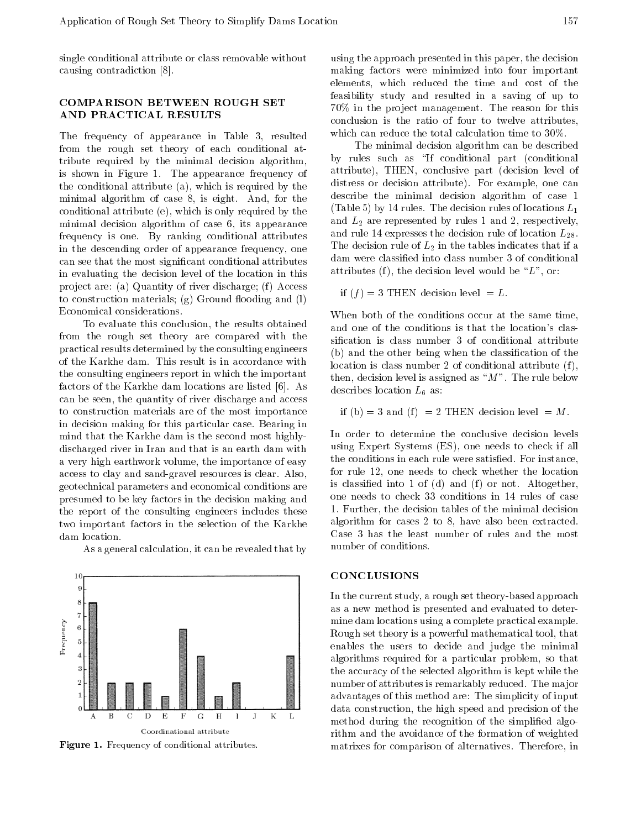single conditional attribute or class removable without causing contradiction [8].

#### **COMPARISON BETWEEN ROUGH SET** COMPARISON BETWEEN ROUGH SET AND PRACTICAL RESULTS

The frequency of appearance in Table 3, resulted from the rough set theory of each conditional attribute required by the minimal decision algorithm, is shown in Figure 1. The appearance frequency of the conditional attribute (a), which is required by the minimal algorithm of case 8, is eight. And, for the conditional attribute (e), which is only required by the minimal decision algorithm of case 6, its appearance frequency is one. By ranking conditional attributes in the descending order of appearance frequency, one can see that the most signicant conditional attributes in evaluating the decision level of the location in this project are: (a) Quantity of river discharge; (f) Access to construction materials;  $(g)$  Ground flooding and  $(l)$ Economical considerations.

To evaluate this conclusion, the results obtained from the rough set theory are compared with the practical results determined by the consulting engineers of the Karkhe dam. This result is in accordance with the consulting engineers report in which the important factors of the Karkhe dam locations are listed [6]. As can be seen, the quantity of river discharge and access to construction materials are of the most importance in decision making for this particular case. Bearing in mind that the Karkhe dam is the second most highlydischarged river in Iran and that is an earth dam with <sup>a</sup> very high earthwork volume, the importance of easy access to clay and sand-gravel resources is clear. Also, geotechnical parameters and economical conditions are presumed to be key factors in the decision making and the report of the consulting engineers includes these two important factors in the selection of the Karkhe dam location.

As a general calculation, it can be revealed that by



Figure 1. Frequency of conditional attributes.

using the approach presented in this paper, the decision making factors were minimized into four important elements, which reduced the time and cost of the feasibility study and resulted in <sup>a</sup> saving of up to  $70\%$  in the project management. The reason for this conclusion is the ratio of four to twelve attributes, which can reduce the total calculation time to 30%.

The minimal decision algorithm can be described by rules such as "If conditional part (conditional attribute), THEN, conclusive part (decision level of distress or decision attribute). For example, one can describe the minimal decision algorithm of case <sup>1</sup> (Table 5) by 14 rules. The decision rules of locations  $L_1$ and  $L_2$  are represented by rules 1 and 2, respectively, and rule 14 expresses the decision rule of location  $L_{28}$ . The decision rule of  $L_2$  in the tables indicates that if a dam were classied into class number 3 of conditional attributes (f), the decision level would be " $L$ ", or:

if  $(f) = 3$  THEN decision level  $= L$ .

When both of the conditions occur at the same time, and one of the conditions is that the location's classification is class number 3 of conditional attribute (b) and the other being when the classication of the location is class number 2 of conditional attribute  $(f)$ , then, decision level is assigned as " $M$ ". The rule below describes location  $L_6$  as:

if (b) = 3 and (f ) = 2 THEN decision level <sup>=</sup> M :

In order to determine the conclusive decision levels using Expert Systems (ES), one needs to check if all the conditions in each rule were satisfied. For instance, for rule 12, one needs to check whether the location is classified into  $1$  of (d) and (f) or not. Altogether, one needs to check <sup>33</sup> conditions in <sup>14</sup> rules of case 1. Further, the decision tables of the minimal decision algorithm for cases <sup>2</sup> to 8, have also been extracted. Case <sup>3</sup> has the least number of rules and the most number of conditions.

## **CONCLUSIONS**

In the current study, a rough set theory-based approach as a new method is presented and evaluated to determine dam locations using a complete practical example. Rough set theory is a powerful mathematical tool, that enables the users to decide and judge the minimal algorithms required for <sup>a</sup> particular problem, so that the accuracy of the selected algorithm is kept while the number of attributes is remarkably reduced. The major advantages of this method are: The simplicity of input data construction, the high speed and precision of the method during the recognition of the simplified algorithm and the avoidance of the formation of weighted matrixes for comparison of alternatives. Therefore, in